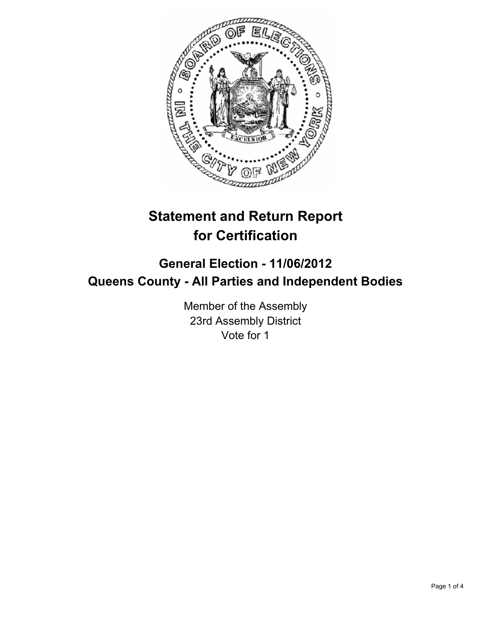

# **Statement and Return Report for Certification**

## **General Election - 11/06/2012 Queens County - All Parties and Independent Bodies**

Member of the Assembly 23rd Assembly District Vote for 1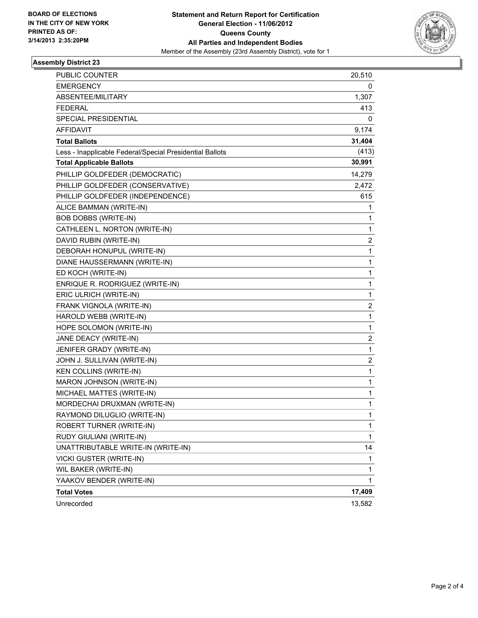

#### **Assembly District 23**

| PUBLIC COUNTER                                           | 20,510       |
|----------------------------------------------------------|--------------|
| <b>EMERGENCY</b>                                         | 0            |
| ABSENTEE/MILITARY                                        | 1,307        |
| <b>FEDERAL</b>                                           | 413          |
| SPECIAL PRESIDENTIAL                                     | 0            |
| AFFIDAVIT                                                | 9,174        |
| <b>Total Ballots</b>                                     | 31,404       |
| Less - Inapplicable Federal/Special Presidential Ballots | (413)        |
| <b>Total Applicable Ballots</b>                          | 30,991       |
| PHILLIP GOLDFEDER (DEMOCRATIC)                           | 14,279       |
| PHILLIP GOLDFEDER (CONSERVATIVE)                         | 2,472        |
| PHILLIP GOLDFEDER (INDEPENDENCE)                         | 615          |
| ALICE BAMMAN (WRITE-IN)                                  | 1            |
| <b>BOB DOBBS (WRITE-IN)</b>                              | 1            |
| CATHLEEN L. NORTON (WRITE-IN)                            | 1            |
| DAVID RUBIN (WRITE-IN)                                   | 2            |
| DEBORAH HONUPUL (WRITE-IN)                               | 1            |
| DIANE HAUSSERMANN (WRITE-IN)                             | 1            |
| ED KOCH (WRITE-IN)                                       | $\mathbf 1$  |
| ENRIQUE R. RODRIGUEZ (WRITE-IN)                          | 1            |
| ERIC ULRICH (WRITE-IN)                                   | 1            |
| FRANK VIGNOLA (WRITE-IN)                                 | 2            |
| HAROLD WEBB (WRITE-IN)                                   | $\mathbf{1}$ |
| HOPE SOLOMON (WRITE-IN)                                  | 1            |
| JANE DEACY (WRITE-IN)                                    | 2            |
| JENIFER GRADY (WRITE-IN)                                 | $\mathbf 1$  |
| JOHN J. SULLIVAN (WRITE-IN)                              | 2            |
| KEN COLLINS (WRITE-IN)                                   | 1            |
| MARON JOHNSON (WRITE-IN)                                 | 1            |
| MICHAEL MATTES (WRITE-IN)                                | 1            |
| MORDECHAI DRUXMAN (WRITE-IN)                             | 1            |
| RAYMOND DILUGLIO (WRITE-IN)                              | 1            |
| ROBERT TURNER (WRITE-IN)                                 | 1            |
| RUDY GIULIANI (WRITE-IN)                                 | 1            |
| UNATTRIBUTABLE WRITE-IN (WRITE-IN)                       | 14           |
| VICKI GUSTER (WRITE-IN)                                  | 1            |
| WIL BAKER (WRITE-IN)                                     | 1            |
| YAAKOV BENDER (WRITE-IN)                                 | 1            |
| <b>Total Votes</b>                                       | 17,409       |
| Unrecorded                                               | 13,582       |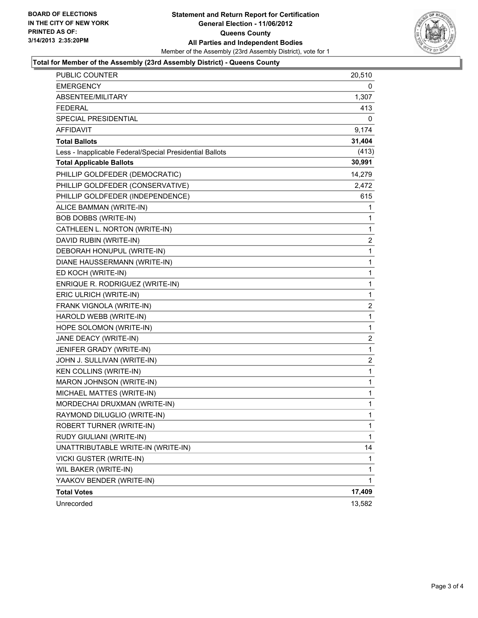

#### **Total for Member of the Assembly (23rd Assembly District) - Queens County**

| PUBLIC COUNTER                                           | 20,510       |
|----------------------------------------------------------|--------------|
| <b>EMERGENCY</b>                                         | 0            |
| ABSENTEE/MILITARY                                        | 1,307        |
| <b>FEDERAL</b>                                           | 413          |
| SPECIAL PRESIDENTIAL                                     | 0            |
| <b>AFFIDAVIT</b>                                         | 9,174        |
| <b>Total Ballots</b>                                     | 31,404       |
| Less - Inapplicable Federal/Special Presidential Ballots | (413)        |
| <b>Total Applicable Ballots</b>                          | 30,991       |
| PHILLIP GOLDFEDER (DEMOCRATIC)                           | 14,279       |
| PHILLIP GOLDFEDER (CONSERVATIVE)                         | 2,472        |
| PHILLIP GOLDFEDER (INDEPENDENCE)                         | 615          |
| ALICE BAMMAN (WRITE-IN)                                  | 1            |
| <b>BOB DOBBS (WRITE-IN)</b>                              | 1            |
| CATHLEEN L. NORTON (WRITE-IN)                            | 1            |
| DAVID RUBIN (WRITE-IN)                                   | 2            |
| DEBORAH HONUPUL (WRITE-IN)                               | 1            |
| DIANE HAUSSERMANN (WRITE-IN)                             | 1            |
| ED KOCH (WRITE-IN)                                       | 1            |
| ENRIQUE R. RODRIGUEZ (WRITE-IN)                          | 1            |
| ERIC ULRICH (WRITE-IN)                                   | 1            |
| FRANK VIGNOLA (WRITE-IN)                                 | 2            |
| HAROLD WEBB (WRITE-IN)                                   | 1            |
| HOPE SOLOMON (WRITE-IN)                                  | 1            |
| JANE DEACY (WRITE-IN)                                    | 2            |
| JENIFER GRADY (WRITE-IN)                                 | 1            |
| JOHN J. SULLIVAN (WRITE-IN)                              | 2            |
| KEN COLLINS (WRITE-IN)                                   | 1            |
| MARON JOHNSON (WRITE-IN)                                 | 1            |
| MICHAEL MATTES (WRITE-IN)                                | 1            |
| MORDECHAI DRUXMAN (WRITE-IN)                             | 1            |
| RAYMOND DILUGLIO (WRITE-IN)                              | $\mathbf{1}$ |
| ROBERT TURNER (WRITE-IN)                                 | 1            |
| RUDY GIULIANI (WRITE-IN)                                 | 1            |
| UNATTRIBUTABLE WRITE-IN (WRITE-IN)                       | 14           |
| VICKI GUSTER (WRITE-IN)                                  | 1            |
| WIL BAKER (WRITE-IN)                                     | 1            |
| YAAKOV BENDER (WRITE-IN)                                 | 1            |
| <b>Total Votes</b>                                       | 17,409       |
| Unrecorded                                               | 13,582       |